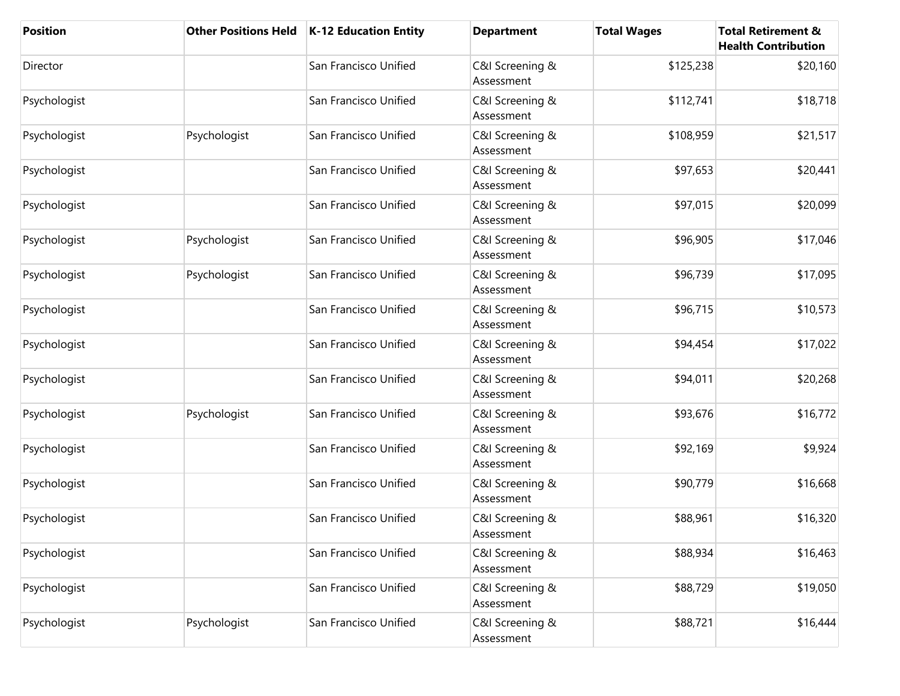| <b>Position</b> | <b>Other Positions Held</b> | K-12 Education Entity | <b>Department</b>             | <b>Total Wages</b> | <b>Total Retirement &amp;</b><br><b>Health Contribution</b> |
|-----------------|-----------------------------|-----------------------|-------------------------------|--------------------|-------------------------------------------------------------|
| Director        |                             | San Francisco Unified | C&I Screening &<br>Assessment | \$125,238          | \$20,160                                                    |
| Psychologist    |                             | San Francisco Unified | C&I Screening &<br>Assessment | \$112,741          | \$18,718                                                    |
| Psychologist    | Psychologist                | San Francisco Unified | C&I Screening &<br>Assessment | \$108,959          | \$21,517                                                    |
| Psychologist    |                             | San Francisco Unified | C&I Screening &<br>Assessment | \$97,653           | \$20,441                                                    |
| Psychologist    |                             | San Francisco Unified | C&I Screening &<br>Assessment | \$97,015           | \$20,099                                                    |
| Psychologist    | Psychologist                | San Francisco Unified | C&I Screening &<br>Assessment | \$96,905           | \$17,046                                                    |
| Psychologist    | Psychologist                | San Francisco Unified | C&I Screening &<br>Assessment | \$96,739           | \$17,095                                                    |
| Psychologist    |                             | San Francisco Unified | C&I Screening &<br>Assessment | \$96,715           | \$10,573                                                    |
| Psychologist    |                             | San Francisco Unified | C&I Screening &<br>Assessment | \$94,454           | \$17,022                                                    |
| Psychologist    |                             | San Francisco Unified | C&I Screening &<br>Assessment | \$94,011           | \$20,268                                                    |
| Psychologist    | Psychologist                | San Francisco Unified | C&I Screening &<br>Assessment | \$93,676           | \$16,772                                                    |
| Psychologist    |                             | San Francisco Unified | C&I Screening &<br>Assessment | \$92,169           | \$9,924                                                     |
| Psychologist    |                             | San Francisco Unified | C&I Screening &<br>Assessment | \$90,779           | \$16,668                                                    |
| Psychologist    |                             | San Francisco Unified | C&I Screening &<br>Assessment | \$88,961           | \$16,320                                                    |
| Psychologist    |                             | San Francisco Unified | C&I Screening &<br>Assessment | \$88,934           | \$16,463                                                    |
| Psychologist    |                             | San Francisco Unified | C&I Screening &<br>Assessment | \$88,729           | \$19,050                                                    |
| Psychologist    | Psychologist                | San Francisco Unified | C&I Screening &<br>Assessment | \$88,721           | \$16,444                                                    |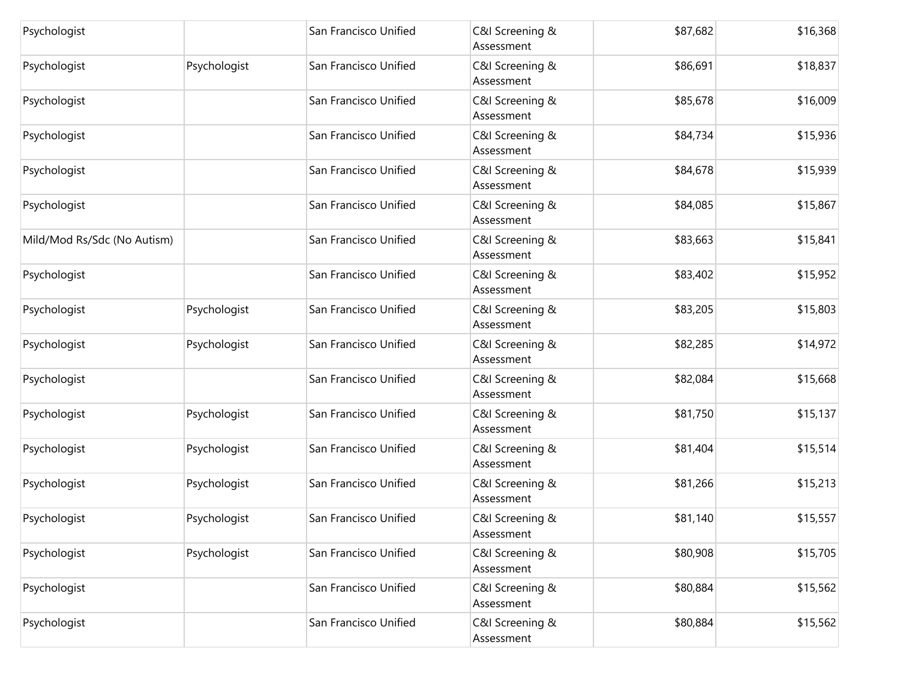| Psychologist                |              | San Francisco Unified | C&I Screening &<br>Assessment | \$87,682 | \$16,368 |
|-----------------------------|--------------|-----------------------|-------------------------------|----------|----------|
| Psychologist                | Psychologist | San Francisco Unified | C&I Screening &<br>Assessment | \$86,691 | \$18,837 |
| Psychologist                |              | San Francisco Unified | C&I Screening &<br>Assessment | \$85,678 | \$16,009 |
| Psychologist                |              | San Francisco Unified | C&I Screening &<br>Assessment | \$84,734 | \$15,936 |
| Psychologist                |              | San Francisco Unified | C&I Screening &<br>Assessment | \$84,678 | \$15,939 |
| Psychologist                |              | San Francisco Unified | C&I Screening &<br>Assessment | \$84,085 | \$15,867 |
| Mild/Mod Rs/Sdc (No Autism) |              | San Francisco Unified | C&I Screening &<br>Assessment | \$83,663 | \$15,841 |
| Psychologist                |              | San Francisco Unified | C&I Screening &<br>Assessment | \$83,402 | \$15,952 |
| Psychologist                | Psychologist | San Francisco Unified | C&I Screening &<br>Assessment | \$83,205 | \$15,803 |
| Psychologist                | Psychologist | San Francisco Unified | C&I Screening &<br>Assessment | \$82,285 | \$14,972 |
| Psychologist                |              | San Francisco Unified | C&I Screening &<br>Assessment | \$82,084 | \$15,668 |
| Psychologist                | Psychologist | San Francisco Unified | C&I Screening &<br>Assessment | \$81,750 | \$15,137 |
| Psychologist                | Psychologist | San Francisco Unified | C&I Screening &<br>Assessment | \$81,404 | \$15,514 |
| Psychologist                | Psychologist | San Francisco Unified | C&I Screening &<br>Assessment | \$81,266 | \$15,213 |
| Psychologist                | Psychologist | San Francisco Unified | C&I Screening &<br>Assessment | \$81,140 | \$15,557 |
| Psychologist                | Psychologist | San Francisco Unified | C&I Screening &<br>Assessment | \$80,908 | \$15,705 |
| Psychologist                |              | San Francisco Unified | C&I Screening &<br>Assessment | \$80,884 | \$15,562 |
| Psychologist                |              | San Francisco Unified | C&I Screening &<br>Assessment | \$80,884 | \$15,562 |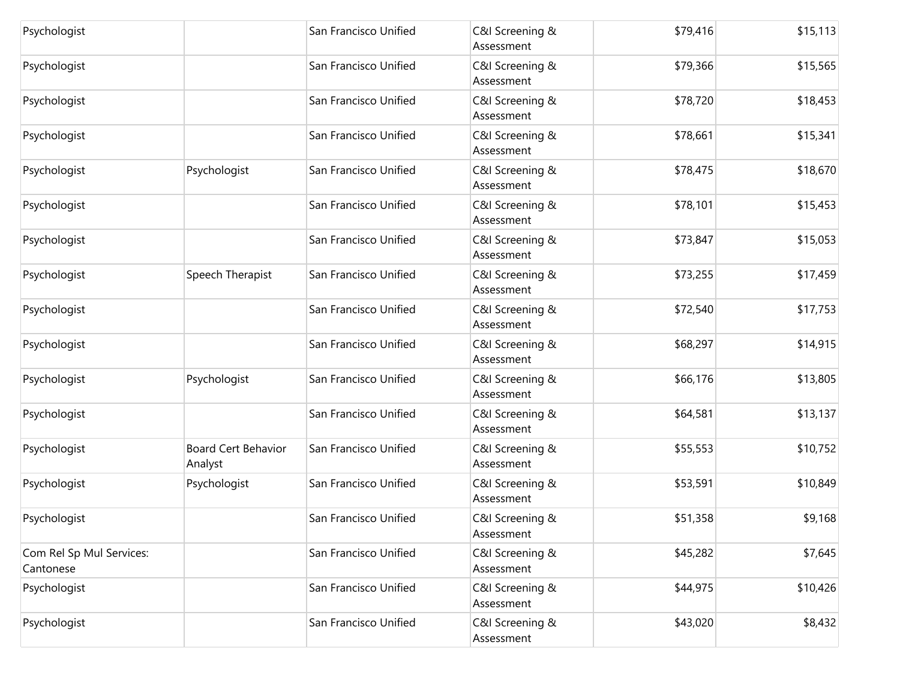| Psychologist                          |                                       | San Francisco Unified | C&I Screening &<br>Assessment | \$79,416 | \$15,113 |
|---------------------------------------|---------------------------------------|-----------------------|-------------------------------|----------|----------|
| Psychologist                          |                                       | San Francisco Unified | C&I Screening &<br>Assessment | \$79,366 | \$15,565 |
| Psychologist                          |                                       | San Francisco Unified | C&I Screening &<br>Assessment | \$78,720 | \$18,453 |
| Psychologist                          |                                       | San Francisco Unified | C&I Screening &<br>Assessment | \$78,661 | \$15,341 |
| Psychologist                          | Psychologist                          | San Francisco Unified | C&I Screening &<br>Assessment | \$78,475 | \$18,670 |
| Psychologist                          |                                       | San Francisco Unified | C&I Screening &<br>Assessment | \$78,101 | \$15,453 |
| Psychologist                          |                                       | San Francisco Unified | C&I Screening &<br>Assessment | \$73,847 | \$15,053 |
| Psychologist                          | Speech Therapist                      | San Francisco Unified | C&I Screening &<br>Assessment | \$73,255 | \$17,459 |
| Psychologist                          |                                       | San Francisco Unified | C&I Screening &<br>Assessment | \$72,540 | \$17,753 |
| Psychologist                          |                                       | San Francisco Unified | C&I Screening &<br>Assessment | \$68,297 | \$14,915 |
| Psychologist                          | Psychologist                          | San Francisco Unified | C&I Screening &<br>Assessment | \$66,176 | \$13,805 |
| Psychologist                          |                                       | San Francisco Unified | C&I Screening &<br>Assessment | \$64,581 | \$13,137 |
| Psychologist                          | <b>Board Cert Behavior</b><br>Analyst | San Francisco Unified | C&I Screening &<br>Assessment | \$55,553 | \$10,752 |
| Psychologist                          | Psychologist                          | San Francisco Unified | C&I Screening &<br>Assessment | \$53,591 | \$10,849 |
| Psychologist                          |                                       | San Francisco Unified | C&I Screening &<br>Assessment | \$51,358 | \$9,168  |
| Com Rel Sp Mul Services:<br>Cantonese |                                       | San Francisco Unified | C&I Screening &<br>Assessment | \$45,282 | \$7,645  |
| Psychologist                          |                                       | San Francisco Unified | C&I Screening &<br>Assessment | \$44,975 | \$10,426 |
| Psychologist                          |                                       | San Francisco Unified | C&I Screening &<br>Assessment | \$43,020 | \$8,432  |